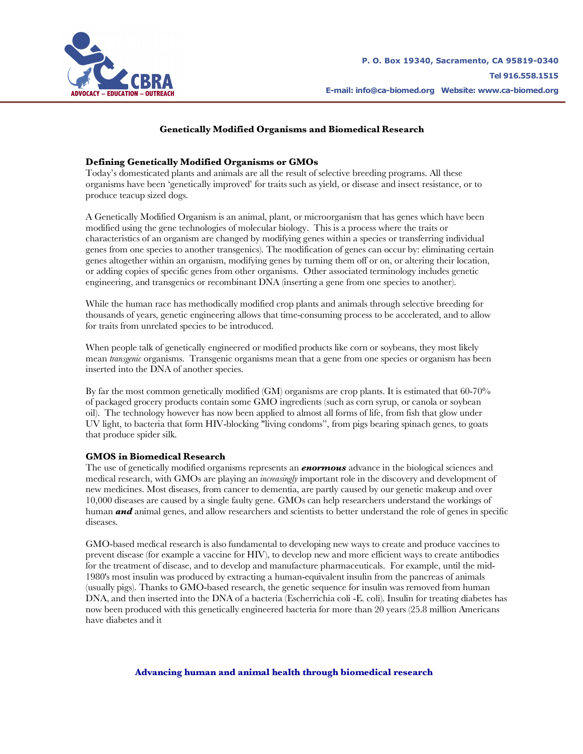

# **Genetically Modified Organisms and Biomedical Research**

# **Defining Genetically Modified Organisms or GMOs**

Today's domesticated plants and animals are all the result of selective breeding programs. All these organisms have been 'genetically improved' for traits such as yield, or disease and insect resistance, or to produce teacup sized dogs.

A Genetically Modified Organism is an animal, plant, or microorganism that has genes which have been modified using the gene technologies of molecular biology. This is a process where the traits or characteristics of an organism are changed by modifying genes within a species or transferring individual genes from one species to another transgenics). The modification of genes can occur by: eliminating certain genes altogether within an organism, modifying genes by turning them off or on, or altering their location, or adding copies of specific genes from other organisms. Other associated terminology includes genetic engineering, and transgenics or recombinant DNA (inserting a gene from one species to another).

While the human race has methodically modified crop plants and animals through selective breeding for thousands of years, genetic engineering allows that time-consuming process to be accelerated, and to allow for traits from unrelated species to be introduced.

When people talk of genetically engineered or modified products like corn or soybeans, they most likely mean *transgenic* organisms. Transgenic organisms mean that a gene from one species or organism has been inserted into the DNA of another species.

By far the most common genetically modified (GM) organisms are crop plants. It is estimated that 60-70% of packaged grocery products contain some GMO ingredients (such as corn syrup, or canola or soybean oil). The technology however has now been applied to almost all forms of life, from fish that glow under UV light, to bacteria that form HIV-blocking "living condoms", from pigs bearing spinach genes, to goats that produce spider silk.

### **GMOS in Biomedical Research**

The use of genetically modified organisms represents an *enormous* advance in the biological sciences and medical research, with GMOs are playing an *increasingly* important role in the discovery and development of new medicines. Most diseases, from cancer to dementia, are partly caused by our genetic makeup and over 10,000 diseases are caused by a single faulty gene. GMOs can help researchers understand the workings of human *and* animal genes, and allow researchers and scientists to better understand the role of genes in specific diseases.

GMO-based medical research is also fundamental to developing new ways to create and produce vaccines to prevent disease (for example a vaccine for HIV), to develop new and more efficient ways to create antibodies for the treatment of disease, and to develop and manufacture pharmaceuticals. For example, until the mid-1980's most insulin was produced by extracting a human-equivalent insulin from the pancreas of animals (usually pigs). Thanks to GMO-based research, the genetic sequence for insulin was removed from human DNA, and then inserted into the DNA of a bacteria (Escherrichia coli -E. coli). Insulin for treating diabetes has now been produced with this genetically engineered bacteria for more than 20 years (25.8 million Americans have diabetes and it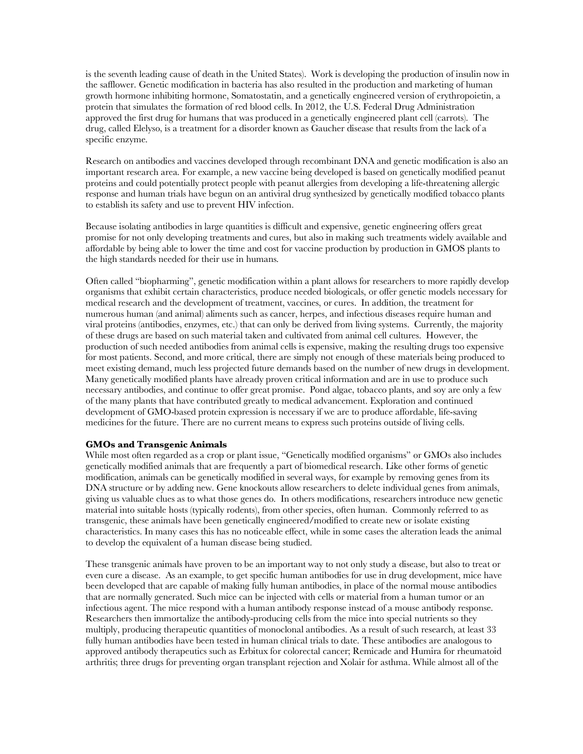is the seventh leading cause of death in the United States). Work is developing the production of insulin now in the safflower. Genetic modification in bacteria has also resulted in the production and marketing of human growth hormone inhibiting hormone, Somatostatin, and a genetically engineered version of erythropoietin, a protein that simulates the formation of red blood cells. In 2012, the U.S. Federal Drug Administration approved the first drug for humans that was produced in a genetically engineered plant cell (carrots). The drug, called Elelyso, is a treatment for a disorder known as Gaucher disease that results from the lack of a specific enzyme.

Research on antibodies and vaccines developed through recombinant DNA and genetic modification is also an important research area. For example, a new vaccine being developed is based on genetically modified peanut proteins and could potentially protect people with peanut allergies from developing a life-threatening allergic response and human trials have begun on an antiviral drug synthesized by genetically modified tobacco plants to establish its safety and use to prevent HIV infection.

Because isolating antibodies in large quantities is difficult and expensive, genetic engineering offers great promise for not only developing treatments and cures, but also in making such treatments widely available and affordable by being able to lower the time and cost for vaccine production by production in GMOS plants to the high standards needed for their use in humans.

Often called "biopharming", genetic modification within a plant allows for researchers to more rapidly develop organisms that exhibit certain characteristics, produce needed biologicals, or offer genetic models necessary for medical research and the development of treatment, vaccines, or cures. In addition, the treatment for numerous human (and animal) aliments such as cancer, herpes, and infectious diseases require human and viral proteins (antibodies, enzymes, etc.) that can only be derived from living systems. Currently, the majority of these drugs are based on such material taken and cultivated from animal cell cultures. However, the production of such needed antibodies from animal cells is expensive, making the resulting drugs too expensive for most patients. Second, and more critical, there are simply not enough of these materials being produced to meet existing demand, much less projected future demands based on the number of new drugs in development. Many genetically modified plants have already proven critical information and are in use to produce such necessary antibodies, and continue to offer great promise. Pond algae, tobacco plants, and soy are only a few of the many plants that have contributed greatly to medical advancement. Exploration and continued development of GMO-based protein expression is necessary if we are to produce affordable, life-saving medicines for the future. There are no current means to express such proteins outside of living cells.

### **GMOs and Transgenic Animals**

While most often regarded as a crop or plant issue, "Genetically modified organisms" or GMOs also includes genetically modified animals that are frequently a part of biomedical research. Like other forms of genetic modification, animals can be genetically modified in several ways, for example by removing genes from its DNA structure or by adding new. Gene knockouts allow researchers to delete individual genes from animals, giving us valuable clues as to what those genes do. In others modifications, researchers introduce new genetic material into suitable hosts (typically rodents), from other species, often human. Commonly referred to as transgenic, these animals have been genetically engineered/modified to create new or isolate existing characteristics. In many cases this has no noticeable effect, while in some cases the alteration leads the animal to develop the equivalent of a human disease being studied.

These transgenic animals have proven to be an important way to not only study a disease, but also to treat or even cure a disease. As an example, to get specific human antibodies for use in drug development, mice have been developed that are capable of making fully human antibodies, in place of the normal mouse antibodies that are normally generated. Such mice can be injected with cells or material from a human tumor or an infectious agent. The mice respond with a human antibody response instead of a mouse antibody response. Researchers then immortalize the antibody-producing cells from the mice into special nutrients so they multiply, producing therapeutic quantities of monoclonal antibodies. As a result of such research, at least 33 fully human antibodies have been tested in human clinical trials to date. These antibodies are analogous to approved antibody therapeutics such as Erbitux for colorectal cancer; Remicade and Humira for rheumatoid arthritis; three drugs for preventing organ transplant rejection and Xolair for asthma. While almost all of the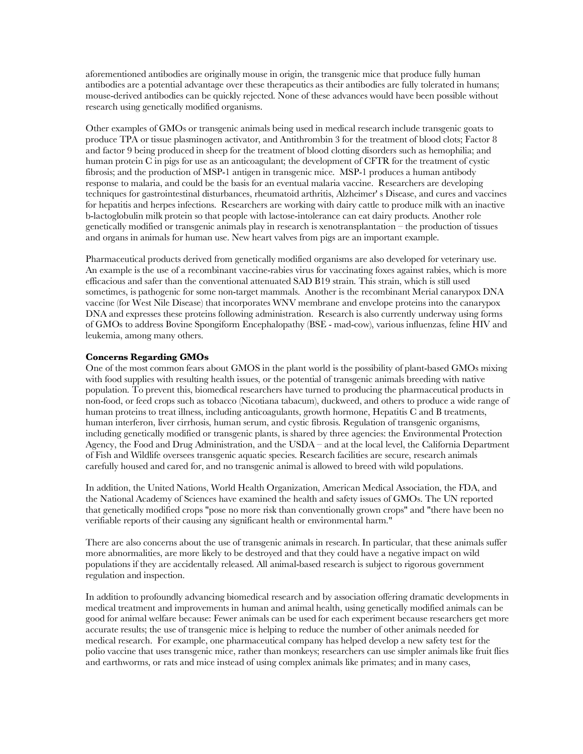aforementioned antibodies are originally mouse in origin, the transgenic mice that produce fully human antibodies are a potential advantage over these therapeutics as their antibodies are fully tolerated in humans; mouse-derived antibodies can be quickly rejected. None of these advances would have been possible without research using genetically modified organisms.

Other examples of GMOs or transgenic animals being used in medical research include transgenic goats to produce TPA or tissue plasminogen activator, and Antithrombin 3 for the treatment of blood clots; Factor 8 and factor 9 being produced in sheep for the treatment of blood clotting disorders such as hemophilia; and human protein C in pigs for use as an anticoagulant; the development of CFTR for the treatment of cystic fibrosis; and the production of MSP-1 antigen in transgenic mice. MSP-1 produces a human antibody response to malaria, and could be the basis for an eventual malaria vaccine. Researchers are developing techniques for gastrointestinal disturbances, rheumatoid arthritis, Alzheimer' s Disease, and cures and vaccines for hepatitis and herpes infections. Researchers are working with dairy cattle to produce milk with an inactive b-lactoglobulin milk protein so that people with lactose-intolerance can eat dairy products. Another role genetically modified or transgenic animals play in research is xenotransplantation – the production of tissues and organs in animals for human use. New heart valves from pigs are an important example.

Pharmaceutical products derived from genetically modified organisms are also developed for veterinary use. An example is the use of a recombinant vaccine-rabies virus for vaccinating foxes against rabies, which is more efficacious and safer than the conventional attenuated SAD B19 strain. This strain, which is still used sometimes, is pathogenic for some non-target mammals. Another is the recombinant Merial canarypox DNA vaccine (for West Nile Disease) that incorporates WNV membrane and envelope proteins into the canarypox DNA and expresses these proteins following administration. Research is also currently underway using forms of GMOs to address Bovine Spongiform Encephalopathy (BSE - mad-cow), various influenzas, feline HIV and leukemia, among many others.

## **Concerns Regarding GMOs**

One of the most common fears about GMOS in the plant world is the possibility of plant-based GMOs mixing with food supplies with resulting health issues, or the potential of transgenic animals breeding with native population. To prevent this, biomedical researchers have turned to producing the pharmaceutical products in non-food, or feed crops such as tobacco (Nicotiana tabacum), duckweed, and others to produce a wide range of human proteins to treat illness, including anticoagulants, growth hormone, Hepatitis C and B treatments, human interferon, liver cirrhosis, human serum, and cystic fibrosis. Regulation of transgenic organisms, including genetically modified or transgenic plants, is shared by three agencies: the Environmental Protection Agency, the Food and Drug Administration, and the USDA – and at the local level, the California Department of Fish and Wildlife oversees transgenic aquatic species. Research facilities are secure, research animals carefully housed and cared for, and no transgenic animal is allowed to breed with wild populations.

In addition, the United Nations, World Health Organization, American Medical Association, the FDA, and the National Academy of Sciences have examined the health and safety issues of GMOs. The UN reported that genetically modified crops "pose no more risk than conventionally grown crops" and "there have been no verifiable reports of their causing any significant health or environmental harm."

There are also concerns about the use of transgenic animals in research. In particular, that these animals suffer more abnormalities, are more likely to be destroyed and that they could have a negative impact on wild populations if they are accidentally released. All animal-based research is subject to rigorous government regulation and inspection.

In addition to profoundly advancing biomedical research and by association offering dramatic developments in medical treatment and improvements in human and animal health, using genetically modified animals can be good for animal welfare because: Fewer animals can be used for each experiment because researchers get more accurate results; the use of transgenic mice is helping to reduce the number of other animals needed for medical research. For example, one pharmaceutical company has helped develop a new safety test for the polio vaccine that uses transgenic mice, rather than monkeys; researchers can use simpler animals like fruit flies and earthworms, or rats and mice instead of using complex animals like primates; and in many cases,